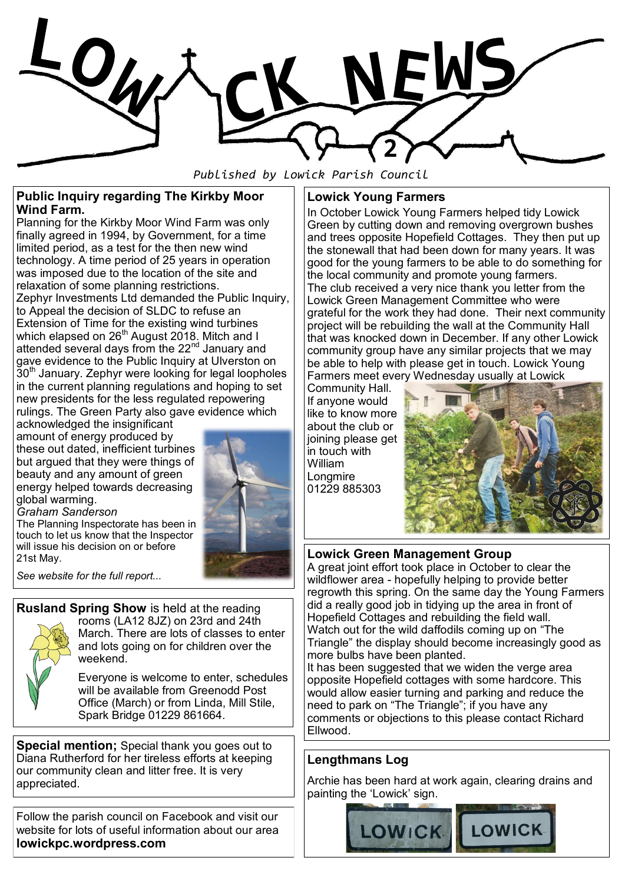

*Published by Lowick Parish Council*

#### **Public Inquiry regarding The Kirkby Moor Wind Farm.**

Planning for the Kirkby Moor Wind Farm was only finally agreed in 1994, by Government, for a time limited period, as a test for the then new wind technology. A time period of 25 years in operation was imposed due to the location of the site and relaxation of some planning restrictions. Zephyr Investments Ltd demanded the Public Inquiry, to Appeal the decision of SLDC to refuse an Extension of Time for the existing wind turbines which elapsed on 26 $^{\text{th}}$  August 2018. Mitch and I attended several days from the 22<sup>nd</sup> January and gave evidence to the Public Inquiry at Ulverston on  $30<sup>th</sup>$  January. Zephyr were looking for legal loopholes in the current planning regulations and hoping to set new presidents for the less regulated repowering rulings. The Green Party also gave evidence which

acknowledged the insignificant amount of energy produced by these out dated, inefficient turbines but argued that they were things of beauty and any amount of green energy helped towards decreasing global warming. *Graham Sanderson*



The Planning Inspectorate has been in touch to let us know that the Inspector will issue his decision on or before 21st May.

*See website for the full report...*

## **Rusland Spring Show** is held at the reading



rooms (LA12 8JZ) on 23rd and 24th March. There are lots of classes to enter and lots going on for children over the weekend.

Everyone is welcome to enter, schedules will be available from Greenodd Post Office (March) or from Linda, Mill Stile, Spark Bridge 01229 861664.

**Special mention;** Special thank you goes out to Diana Rutherford for her tireless efforts at keeping our community clean and litter free. It is very appreciated.

Follow the parish council on Facebook and visit our website for lots of useful information about our area **lowickpc.wordpress.com**

## **Lowick Young Farmers**

In October Lowick Young Farmers helped tidy Lowick Green by cutting down and removing overgrown bushes and trees opposite Hopefield Cottages. They then put up the stonewall that had been down for many years. It was good for the young farmers to be able to do something for the local community and promote young farmers. The club received a very nice thank you letter from the Lowick Green Management Committee who were grateful for the work they had done. Their next community project will be rebuilding the wall at the Community Hall that was knocked down in December. If any other Lowick community group have any similar projects that we may be able to help with please get in touch. Lowick Young Farmers meet every Wednesday usually at Lowick

Community Hall. If anyone would like to know more about the club or joining please get in touch with William Longmire 01229 885303



## **Lowick Green Management Group**

A great joint effort took place in October to clear the wildflower area - hopefully helping to provide better regrowth this spring. On the same day the Young Farmers did a really good job in tidying up the area in front of Hopefield Cottages and rebuilding the field wall. Watch out for the wild daffodils coming up on "The Triangle" the display should become increasingly good as more bulbs have been planted.

It has been suggested that we widen the verge area opposite Hopefield cottages with some hardcore. This would allow easier turning and parking and reduce the need to park on "The Triangle"; if you have any comments or objections to this please contact Richard Ellwood.

# **Lengthmans Log**

Archie has been hard at work again, clearing drains and painting the 'Lowick' sign.